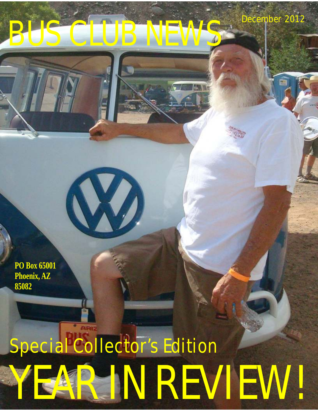## BUS CLUB

**W** 

December 2012

**PO Box 65001 Phoenix, AZ 85082**

# AR IN REVIEW! Special Collector's Edition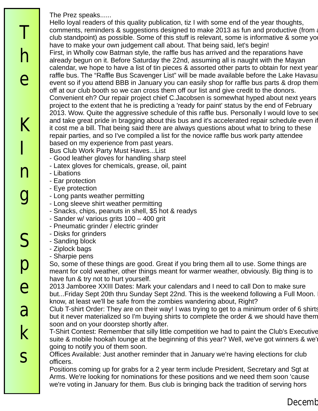The Prez speaks...... d'eaurvis(sp?) (pronounce: horse door those who show AND show AND show AND show AND show AND show AND show AND show AND show AND show AND show AND show AND show AND show AND show AND show AND show AND

Hello loyal readers of this quality publication, tiz I with some end of the year thoughts, comments, reminders & suggestions designed to make 2013 as fun and productive (from a club standpoint) as possible. Some of this stuff is relevant, some is informative & some yo have to make your own judgement call about. That being said, let's begin! First, in Wholly cow Batman style, the raffle bus has arrived and the reparations have already begun on it. Before Saturday the 22nd, assuming all is naught with the Mayan calendar, we hope to have a list of tin pieces & assorted other parts to obtain for next year raffle bus. The "Raffle Bus Scavenger List" will be made available before the Lake Havasu event so if you attend BBB in January you can easily shop for raffle bus parts & drop them off at our club booth so we can cross them off our list and give credit to the donors. Convenient eh? Our repair project chief C.Jacobsen is somewhat hyped about next years project to the extent that he is predicting a 'ready for paint' status by the end of February 2013. Wow. Quite the aggressive schedule of this raffle bus. Personally I would love to see and take great pride in bragging about this bus and it's accelerated repair schedule even if it cost me a bill. That being said there are always questions about what to bring to these repair parties, and so I've compiled a list for the novice raffle bus work party attendee based on my experience from past years.

- Bus Club Work Party Must Haves...List
- Good leather gloves for handling sharp steel
- Latex gloves for chemicals, grease, oil, paint
- Libations thinks otherwise. Good to see new member  $\mathcal{L}_{\text{max}}$  at the light parade this year.
- Ear protection And transplanted from Missouri, Roy & family. It was good to see you out at the Christmas good to see you out at the Christmas good to see you out at the Christmas good to see you out at the Christmas good
- Eye protection  $\mathsf{P}$  are reading this, the Smithsonian museum called and wanted and wanted and wanted to  $\mathsf{P}$
- Long pants weather permitting
- Long sleeve shirt weather permitting.
- Snacks, chips, peanuts in shell, \$5 hot & readys
- Sander w/ various grits  $100 400$  grit
- Pneumatic grinder / electric grinder
- Disks for grinders.
- Sanding block
- Ziplock bags
- Sharpie pens

So, some of these things are good. Great if you bring them all to use. Some things are meant for cold weather, other things meant for warmer weather, obviously. Big thing is to have fun & try not to hurt yourself.

2013 Jamboree XXIII Dates: Mark your calendars and I need to call Don to make sure but...Friday Sept 20th thru Sunday Sept 22nd. This is the weekend following a Full Moon. I know, at least we'll be safe from the zombies wandering about, Right?

Club T-shirt Order: They are on their way! I was trying to get to a minimum order of 6 shirts but it never materialized so I'm buying shirts to complete the order & we should have them soon and on your doorstep shortly after.

T-Shirt Contest: Remember that silly little competition we had to paint the Club's Executive suite & mobile hookah lounge at the beginning of this year? Well, we've got winners & we'l going to notify you of them soon.

Offices Available: Just another reminder that in January we're having elections for club officers.

Positions coming up for grabs for a 2 year term include President, Secretary and Sgt at Arms. We're looking for nominations for these positions and we need them soon 'cause we're voting in January for them. Bus club is bringing back the tradition of serving hors

T

h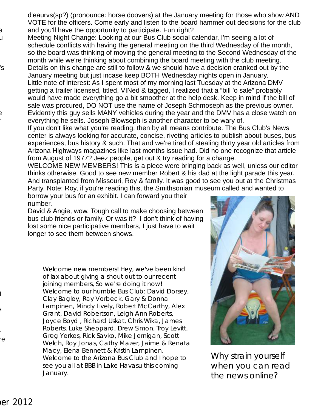d'eaurvs(sp?) (pronounce: horse doovers) at the January meeting for those who show AND VOTE for the officers. Come early and listen to the board hammer out decisions for the club and you'll have the opportunity to participate. Fun right?

- Meeting Night Change: Looking at our Bus Club social calendar, I'm seeing a lot of schedule conflicts with having the general meeting on the third Wednesday of the month, so the board was thinking of moving the general meeting to the Second Wednesday of the month while we're thinking about combining the board meeting with the club meeting.
- would nave made everything go a bit smoother at the help desk. Keep in mind if the bill of<br>sale was procured, DO NOT use the name of Joseph Schmoseph as the previous owner. s Calendaria Details on this change are still to follow & we should have a decision cranked out by the January meeting but just incase keep BOTH Wednesday nights open in January. Little note of interest: As I spent most of my morning last Tuesday at the Arizona DMV getting a trailer licensed, titled, VINed & tagged, I realized that a "bill 'o sale" probably would have made everything go a bit smoother at the help desk. Keep in mind if the bill of Evidently this guy sells MANY vehicles during the year and the DMV has a close watch on everything he sells. Joseph Blowseph is another character to be wary of.
	- If you don't like what you're reading, then by all means contribute. The Bus Club's News center is always looking for accurate, concise, riveting articles to publish about buses, bus experiences, bus history & such. That and we're tired of stealing thirty year old articles from Arizona Highways magazines like last months issue had. Did no one recognize that article from August of 1977? Jeez people, get out & try reading for a change.
	- WELCOME NEW MEMBERS! This is a piece were bringing back as well, unless our editor thinks otherwise. Good to see new member Robert & his dad at the light parade this year. And transplanted from Missouri, Roy & family. It was good to see you out at the Christmas Party. Note: Roy, if you're reading this, the Smithsonian museum called and wanted to
- borrow your bus for an exhibit. I can forward you their - Long shirt weather permitted and such a single street shirt weather.
	- David & Angie, wow. Tough call to make choosing between bus club friends or family. Or was it? I don't think of having lost some nice participative members, I just have to wait longer to see them between shows.
		- Welcome new members! Hey, we've been kind of lax about giving a shout out to our recent joining members, So we're doing it now! Welcome to our humble Bus Club: David Dorsey, Clay Bagley, Ray Vorbeck, Gary & Donna Lampinen, Mindy Lively, Robert McCarthy, Alex Grant, David Robertson, Leigh Ann Roberts, Joyce Boyd , Richard Uskat, Chris Wika, James Roberts, Luke Sheppard, Drew Simon, Troy Levitt, Greg Yerkes, Rick Savko, Mike Jernigan, Scott Welch, Roy Jonas, Cathy Mazer, Jaime & Renata Macy, Elena Bennett & Kristin Lampinen. Welcome to the Arizona Bus Club and I hope to see you all at BBB in Lake Havasu this coming January.



Why strain yourself when you can read the news online?

 $\mathbf I$ 

 $\mathbf{S}$ 

 $\blacksquare$ re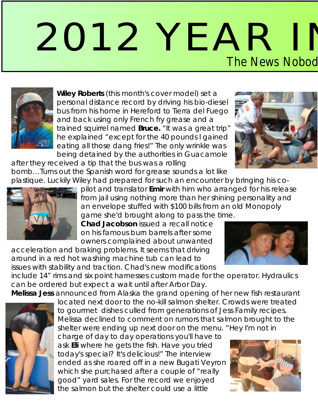## 2012 YEAR II The News Nobod



Wiley Roberts (this month's cover model) set a personal distance record by driving his bio-diesel bus from his home in Hereford to Tierra del Fuego and back using only French fry grease and a trained squirrel named Bruce. "It was a great trip" he explained "except for the 40 pounds I gained eating all those dang fries!" The only wrinkle was being detained by the authorities in Guacamole

after they received a tip that the bus was a rolling

bomb...Turns out the Spanish word for grease sounds a lot like plastique. Luckily Wiley had prepared for such an encounter by bringing his co-



pilot and translator Emir with him who arranged for his release from jail using nothing more than her shining personality and an envelope stuffed with \$100 bills from an old Monopoly game she'd brought along to pass the time.

**Chad Jacobson issued a recall notice** on his famous burn barrels after some owners complained about unwanted

acceleration and braking problems. It seems that driving around in a red hot washing machine tub can lead to issues with stability and traction. Chad's new modifications

include 14" rims and six point harnesses custom made for the operator. Hydraulics can be ordered but expect a wait until after Arbor Day.

Melissa Jess announced from Alaska the grand opening of her new fish restaurant



located next door to the no-kill salmon shelter. Crowds were treated to gourmet dishes culled from generations of Jess Family recipes. Melissa declined to comment on rumors that salmon brought to the shelter were ending up next door on the menu. "Hey I'm not in

charge of day to day operations you'll have to ask Eli where he gets the fish. Have you tried today's special? It's delicious!" The interview ended as she roared off in a new Bugati Veyron which she purchased after a couple of "really good" yard sales. For the record we enjoyed the salmon but the shelter could use a little





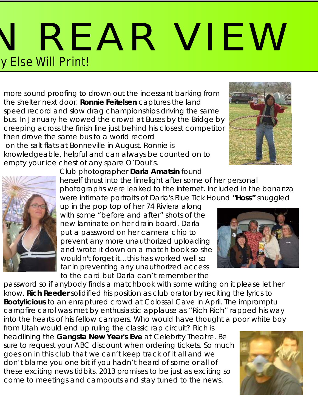## REAR VIEW y Else Will Print!

more sound proofing to drown out the incessant barking from the shelter next door. Ronnie Feitelsen captures the land speed record and slow drag championships driving the same bus. In January he wowed the crowd at Buses by the Bridge by creeping across the finish line just behind his closest competitor then drove the same bus to a world record on the salt flats at Bonneville in August. Ronnie is knowledgeable, helpful and can always be counted on to empty your ice chest of any spare O'Doul's.





**Club photographer Darla Amatsin found** herself thrust into the limelight after some of her personal photographs were leaked to the internet. Included in the bonanza were intimate portraits of Darla's Blue Tick Hound "Hoss" snuggled

up in the pop top of her 74 Riviera along with some "before and after" shots of the **Chad Jacobson** issued a recall notice new laminate on her drain board. Darla put a password on her camera chip to prevent any more unauthorized uploading and wrote it down on a match book so she wouldn't forget it…this has worked well so far in preventing any unauthorized access to the card but Darla can't remember the

password so if anybody finds a matchbook with some writing on it please let her know. Rich Reeder solidified his position as club orator by reciting the lyrics to Bootylicious to an enraptured crowd at Colossal Cave in April. The impromptu campfire carol was met by enthusiastic applause as "Rich Rich" rapped his way into the hearts of his fellow campers. Who would have thought a poor white boy

from Utah would end up ruling the classic rap circuit? Rich is headlining the Gangsta New Year's Eve at Celebrity Theatre. Be sure to request your ABC discount when ordering tickets. So much goes on in this club that we can't keep track of it all and we don't blame you one bit if you hadn't heard of some or all of these exciting news tidbits. 2013 promises to be just as exciting so come to meetings and campouts and stay tuned to the news.



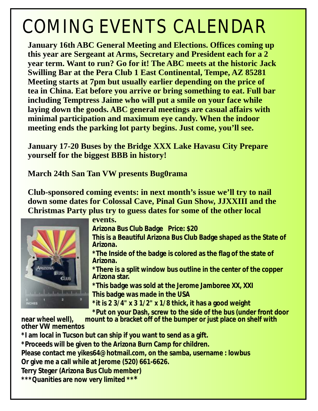#### COMING EVENTS CALENDAR

**January 16th ABC General Meeting and Elections. Offices coming up this year are Sergeant at Arms, Secretary and President each for a 2 year term. Want to run? Go for it! The ABC meets at the historic Jack Swilling Bar at the Pera Club 1 East Continental, Tempe, AZ 85281 Meeting starts at 7pm but usually earlier depending on the price of tea in China. Eat before you arrive or bring something to eat. Full bar including Temptress Jaime who will put a smile on your face while laying down the goods. ABC general meetings are casual affairs with minimal participation and maximum eye candy. When the indoor meeting ends the parking lot party begins. Just come, you'll see.**

**January 17-20 Buses by the Bridge XXX Lake Havasu City Prepare yourself for the biggest BBB in history!** 

**March 24th San Tan VW presents Bug0rama**

**Club-sponsored coming events: in next month's issue we'll try to nail down some dates for Colossal Cave, Pinal Gun Show, JJXXIII and the Christmas Party plus try to guess dates for some of the other local** 



#### **events.**

**Arizona Bus Club Badge Price: \$20**

**This is a Beautiful Arizona Bus Club Badge shaped as the State of Arizona.**

**\*The Inside of the badge is colored as the flag of the state of Arizona.**

**\*There is a split window bus outline in the center of the copper Arizona star.**

**\*This badge was sold at the Jerome Jamboree XX, XXI This badge was made in the USA**

**\*it is 2 3/4" x 3 1/2" x 1/8 thick, it has a good weight**

**\*Put on your Dash, screw to the side of the bus (under front door** 

**near wheel well), mount to a bracket off of the bumper or just place on shelf with other VW mementos**

**\*I am local in Tucson but can ship if you want to send as a gift.**

**\*Proceeds will be given to the Arizona Burn Camp for children.**

**Please contact me yikes64@hotmail.com, on the samba, username : lowbus Or give me a call while at Jerome (520) 661-6626.** 

**Terry Steger (Arizona Bus Club member)**

**\*\*\*Quanities are now very limited \*\*\***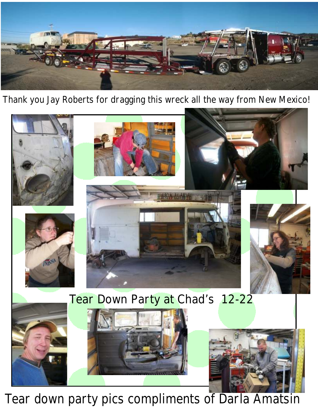

Thank you Jay Roberts for dragging this wreck all the way from New Mexico!



Tear down party pics compliments of Darla Amatsin